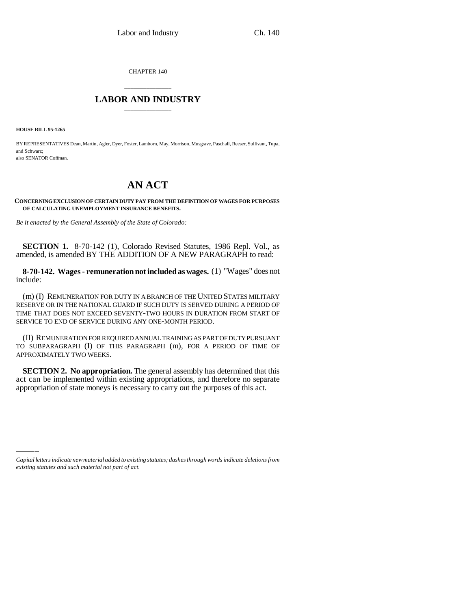CHAPTER 140

## \_\_\_\_\_\_\_\_\_\_\_\_\_\_\_ **LABOR AND INDUSTRY** \_\_\_\_\_\_\_\_\_\_\_\_\_\_\_

**HOUSE BILL 95-1265**

BY REPRESENTATIVES Dean, Martin, Agler, Dyer, Foster, Lamborn, May, Morrison, Musgrave, Paschall, Reeser, Sullivant, Tupa, and Schwarz; also SENATOR Coffman.

## **AN ACT**

**CONCERNING EXCLUSION OF CERTAIN DUTY PAY FROM THE DEFINITION OF WAGES FOR PURPOSES OF CALCULATING UNEMPLOYMENT INSURANCE BENEFITS.**

*Be it enacted by the General Assembly of the State of Colorado:*

**SECTION 1.** 8-70-142 (1), Colorado Revised Statutes, 1986 Repl. Vol., as amended, is amended BY THE ADDITION OF A NEW PARAGRAPH to read:

**8-70-142. Wages - remuneration not included as wages.** (1) "Wages" does not include:

(m) (I) REMUNERATION FOR DUTY IN A BRANCH OF THE UNITED STATES MILITARY RESERVE OR IN THE NATIONAL GUARD IF SUCH DUTY IS SERVED DURING A PERIOD OF TIME THAT DOES NOT EXCEED SEVENTY-TWO HOURS IN DURATION FROM START OF SERVICE TO END OF SERVICE DURING ANY ONE-MONTH PERIOD.

(II) REMUNERATION FOR REQUIRED ANNUAL TRAINING AS PART OF DUTY PURSUANT TO SUBPARAGRAPH (I) OF THIS PARAGRAPH (m), FOR A PERIOD OF TIME OF APPROXIMATELY TWO WEEKS.

appropriation of state moneys is necessary to carry out the purposes of this act.**SECTION 2. No appropriation.** The general assembly has determined that this act can be implemented within existing appropriations, and therefore no separate

*Capital letters indicate new material added to existing statutes; dashes through words indicate deletions from existing statutes and such material not part of act.*